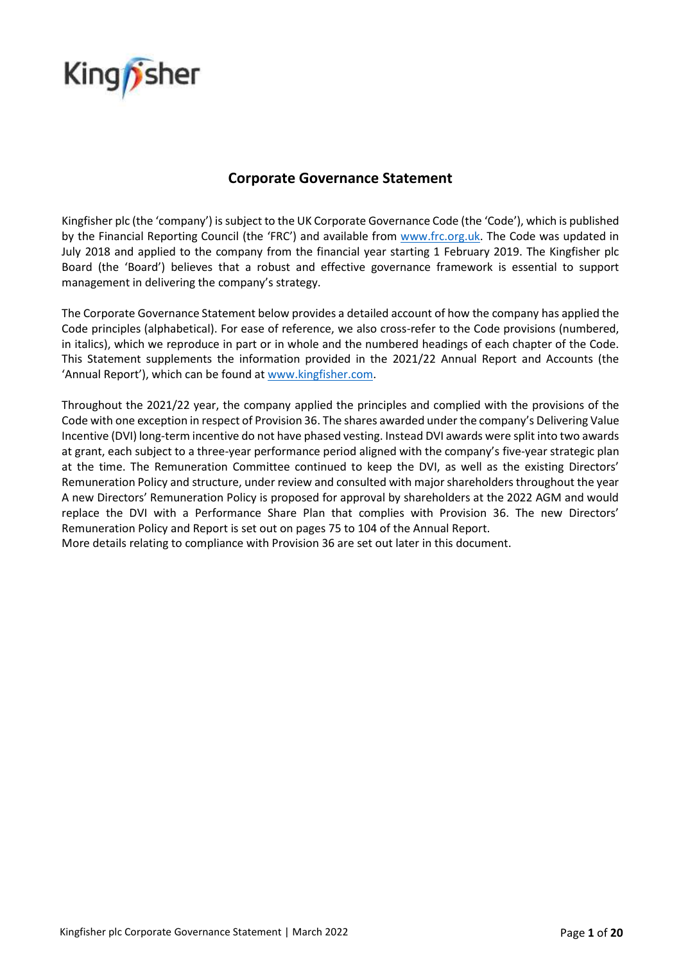

# **Corporate Governance Statement**

Kingfisher plc (the 'company') is subject to the UK Corporate Governance Code (the 'Code'), which is published by the Financial Reporting Council (the 'FRC') and available from [www.frc.org.uk.](http://www.frc.org.uk/) The Code was updated in July 2018 and applied to the company from the financial year starting 1 February 2019. The Kingfisher plc Board (the 'Board') believes that a robust and effective governance framework is essential to support management in delivering the company's strategy.

The Corporate Governance Statement below provides a detailed account of how the company has applied the Code principles (alphabetical). For ease of reference, we also cross-refer to the Code provisions (numbered, in italics), which we reproduce in part or in whole and the numbered headings of each chapter of the Code. This Statement supplements the information provided in the 2021/22 Annual Report and Accounts (the 'Annual Report'), which can be found at [www.kingfisher.com.](http://www.kingfisher.com/)

Throughout the 2021/22 year, the company applied the principles and complied with the provisions of the Code with one exception in respect of Provision 36. The shares awarded under the company's Delivering Value Incentive (DVI) long-term incentive do not have phased vesting. Instead DVI awards were split into two awards at grant, each subject to a three-year performance period aligned with the company's five-year strategic plan at the time. The Remuneration Committee continued to keep the DVI, as well as the existing Directors' Remuneration Policy and structure, under review and consulted with major shareholders throughout the year A new Directors' Remuneration Policy is proposed for approval by shareholders at the 2022 AGM and would replace the DVI with a Performance Share Plan that complies with Provision 36. The new Directors' Remuneration Policy and Report is set out on pages 75 to 104 of the Annual Report.

More details relating to compliance with Provision 36 are set out later in this document.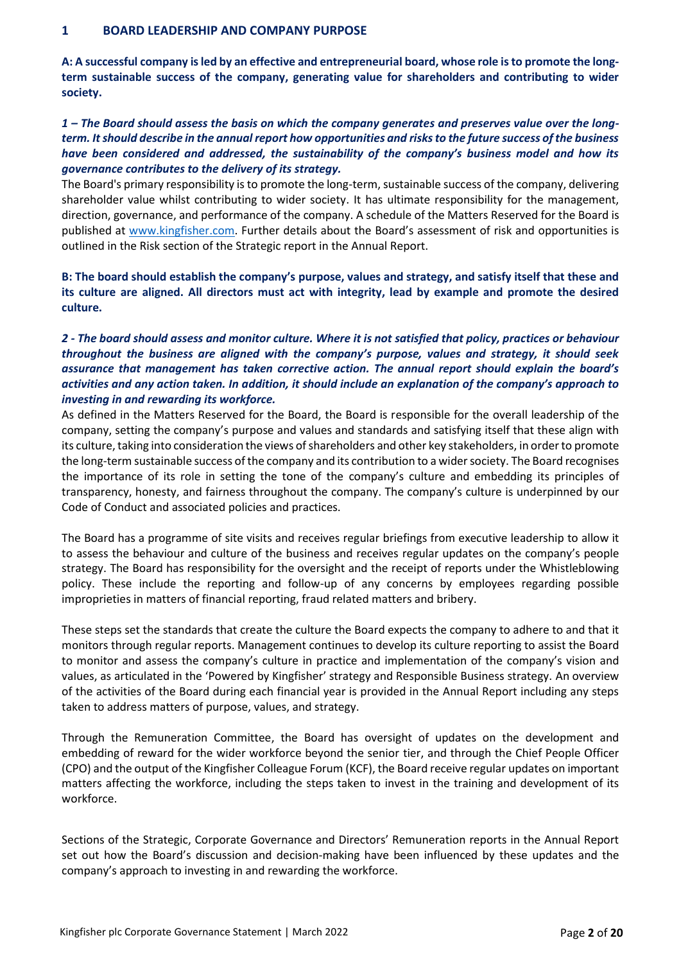#### **1 BOARD LEADERSHIP AND COMPANY PURPOSE**

**A: A successful company is led by an effective and entrepreneurial board, whose role is to promote the longterm sustainable success of the company, generating value for shareholders and contributing to wider society.**

# *1 – The Board should assess the basis on which the company generates and preserves value over the longterm. It should describe in the annual report how opportunities and risks to the future success of the business have been considered and addressed, the sustainability of the company's business model and how its governance contributes to the delivery of its strategy.*

The Board's primary responsibility is to promote the long-term, sustainable success of the company, delivering shareholder value whilst contributing to wider society. It has ultimate responsibility for the management, direction, governance, and performance of the company. A schedule of the Matters Reserved for the Board is published at [www.kingfisher.com.](http://www.kingfisher.com/) Further details about the Board's assessment of risk and opportunities is outlined in the Risk section of the Strategic report in the Annual Report.

**B: The board should establish the company's purpose, values and strategy, and satisfy itself that these and its culture are aligned. All directors must act with integrity, lead by example and promote the desired culture.** 

# *2 - The board should assess and monitor culture. Where it is not satisfied that policy, practices or behaviour throughout the business are aligned with the company's purpose, values and strategy, it should seek assurance that management has taken corrective action. The annual report should explain the board's activities and any action taken. In addition, it should include an explanation of the company's approach to investing in and rewarding its workforce.*

As defined in the Matters Reserved for the Board, the Board is responsible for the overall leadership of the company, setting the company's purpose and values and standards and satisfying itself that these align with its culture, taking into consideration the views of shareholders and other key stakeholders, in order to promote the long-term sustainable success of the company and its contribution to a wider society. The Board recognises the importance of its role in setting the tone of the company's culture and embedding its principles of transparency, honesty, and fairness throughout the company. The company's culture is underpinned by our Code of Conduct and associated policies and practices.

The Board has a programme of site visits and receives regular briefings from executive leadership to allow it to assess the behaviour and culture of the business and receives regular updates on the company's people strategy. The Board has responsibility for the oversight and the receipt of reports under the Whistleblowing policy. These include the reporting and follow-up of any concerns by employees regarding possible improprieties in matters of financial reporting, fraud related matters and bribery.

These steps set the standards that create the culture the Board expects the company to adhere to and that it monitors through regular reports. Management continues to develop its culture reporting to assist the Board to monitor and assess the company's culture in practice and implementation of the company's vision and values, as articulated in the 'Powered by Kingfisher' strategy and Responsible Business strategy. An overview of the activities of the Board during each financial year is provided in the Annual Report including any steps taken to address matters of purpose, values, and strategy.

Through the Remuneration Committee, the Board has oversight of updates on the development and embedding of reward for the wider workforce beyond the senior tier, and through the Chief People Officer (CPO) and the output of the Kingfisher Colleague Forum (KCF), the Board receive regular updates on important matters affecting the workforce, including the steps taken to invest in the training and development of its workforce.

Sections of the Strategic, Corporate Governance and Directors' Remuneration reports in the Annual Report set out how the Board's discussion and decision-making have been influenced by these updates and the company's approach to investing in and rewarding the workforce.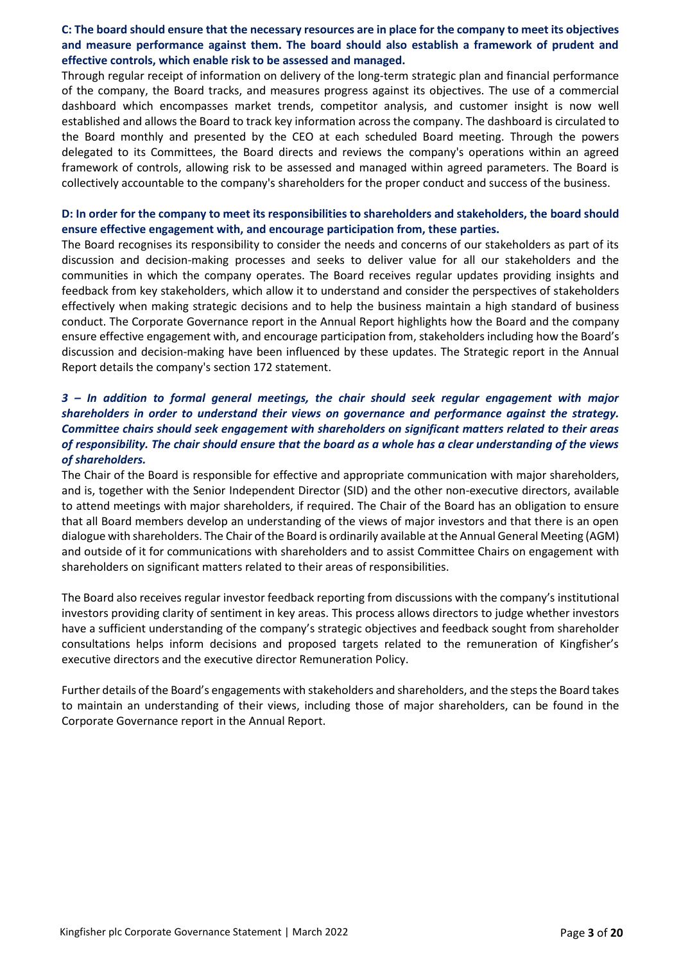## **C: The board should ensure that the necessary resources are in place for the company to meet its objectives and measure performance against them. The board should also establish a framework of prudent and effective controls, which enable risk to be assessed and managed.**

Through regular receipt of information on delivery of the long-term strategic plan and financial performance of the company, the Board tracks, and measures progress against its objectives. The use of a commercial dashboard which encompasses market trends, competitor analysis, and customer insight is now well established and allows the Board to track key information across the company. The dashboard is circulated to the Board monthly and presented by the CEO at each scheduled Board meeting. Through the powers delegated to its Committees, the Board directs and reviews the company's operations within an agreed framework of controls, allowing risk to be assessed and managed within agreed parameters. The Board is collectively accountable to the company's shareholders for the proper conduct and success of the business.

#### **D: In order for the company to meet its responsibilities to shareholders and stakeholders, the board should ensure effective engagement with, and encourage participation from, these parties.**

The Board recognises its responsibility to consider the needs and concerns of our stakeholders as part of its discussion and decision-making processes and seeks to deliver value for all our stakeholders and the communities in which the company operates. The Board receives regular updates providing insights and feedback from key stakeholders, which allow it to understand and consider the perspectives of stakeholders effectively when making strategic decisions and to help the business maintain a high standard of business conduct. The Corporate Governance report in the Annual Report highlights how the Board and the company ensure effective engagement with, and encourage participation from, stakeholders including how the Board's discussion and decision-making have been influenced by these updates. The Strategic report in the Annual Report details the company's section 172 statement.

# *3 – In addition to formal general meetings, the chair should seek regular engagement with major shareholders in order to understand their views on governance and performance against the strategy. Committee chairs should seek engagement with shareholders on significant matters related to their areas of responsibility. The chair should ensure that the board as a whole has a clear understanding of the views of shareholders.*

The Chair of the Board is responsible for effective and appropriate communication with major shareholders, and is, together with the Senior Independent Director (SID) and the other non-executive directors, available to attend meetings with major shareholders, if required. The Chair of the Board has an obligation to ensure that all Board members develop an understanding of the views of major investors and that there is an open dialogue with shareholders. The Chair of the Board is ordinarily available at the Annual General Meeting (AGM) and outside of it for communications with shareholders and to assist Committee Chairs on engagement with shareholders on significant matters related to their areas of responsibilities.

The Board also receives regular investor feedback reporting from discussions with the company's institutional investors providing clarity of sentiment in key areas. This process allows directors to judge whether investors have a sufficient understanding of the company's strategic objectives and feedback sought from shareholder consultations helps inform decisions and proposed targets related to the remuneration of Kingfisher's executive directors and the executive director Remuneration Policy.

Further details of the Board's engagements with stakeholders and shareholders, and the steps the Board takes to maintain an understanding of their views, including those of major shareholders, can be found in the Corporate Governance report in the Annual Report.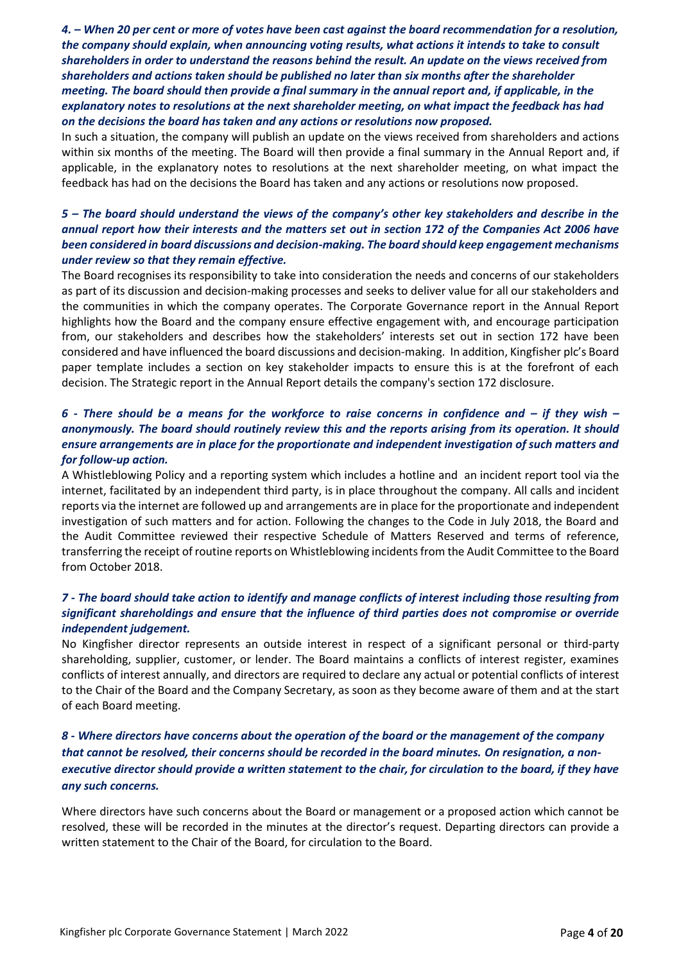*4. – When 20 per cent or more of votes have been cast against the board recommendation for a resolution, the company should explain, when announcing voting results, what actions it intends to take to consult shareholders in order to understand the reasons behind the result. An update on the views received from shareholders and actions taken should be published no later than six months after the shareholder meeting. The board should then provide a final summary in the annual report and, if applicable, in the explanatory notes to resolutions at the next shareholder meeting, on what impact the feedback has had on the decisions the board has taken and any actions or resolutions now proposed.*

In such a situation, the company will publish an update on the views received from shareholders and actions within six months of the meeting. The Board will then provide a final summary in the Annual Report and, if applicable, in the explanatory notes to resolutions at the next shareholder meeting, on what impact the feedback has had on the decisions the Board has taken and any actions or resolutions now proposed.

## *5 – The board should understand the views of the company's other key stakeholders and describe in the annual report how their interests and the matters set out in section 172 of the Companies Act 2006 have been considered in board discussions and decision-making. The board should keep engagement mechanisms under review so that they remain effective.*

The Board recognises its responsibility to take into consideration the needs and concerns of our stakeholders as part of its discussion and decision-making processes and seeks to deliver value for all our stakeholders and the communities in which the company operates. The Corporate Governance report in the Annual Report highlights how the Board and the company ensure effective engagement with, and encourage participation from, our stakeholders and describes how the stakeholders' interests set out in section 172 have been considered and have influenced the board discussions and decision-making. In addition, Kingfisher plc's Board paper template includes a section on key stakeholder impacts to ensure this is at the forefront of each decision. The Strategic report in the Annual Report details the company's section 172 disclosure.

## *6* - There should be a means for the workforce to raise concerns in confidence and – if they wish – *anonymously. The board should routinely review this and the reports arising from its operation. It should ensure arrangements are in place for the proportionate and independent investigation of such matters and for follow-up action.*

A Whistleblowing Policy and a reporting system which includes a hotline and an incident report tool via the internet, facilitated by an independent third party, is in place throughout the company. All calls and incident reports via the internet are followed up and arrangements are in place for the proportionate and independent investigation of such matters and for action. Following the changes to the Code in July 2018, the Board and the Audit Committee reviewed their respective Schedule of Matters Reserved and terms of reference, transferring the receipt of routine reports on Whistleblowing incidentsfrom the Audit Committee to the Board from October 2018.

# *7 - The board should take action to identify and manage conflicts of interest including those resulting from significant shareholdings and ensure that the influence of third parties does not compromise or override independent judgement.*

No Kingfisher director represents an outside interest in respect of a significant personal or third-party shareholding, supplier, customer, or lender. The Board maintains a conflicts of interest register, examines conflicts of interest annually, and directors are required to declare any actual or potential conflicts of interest to the Chair of the Board and the Company Secretary, as soon as they become aware of them and at the start of each Board meeting.

# *8 - Where directors have concerns about the operation of the board or the management of the company that cannot be resolved, their concerns should be recorded in the board minutes. On resignation, a nonexecutive director should provide a written statement to the chair, for circulation to the board, if they have any such concerns.*

Where directors have such concerns about the Board or management or a proposed action which cannot be resolved, these will be recorded in the minutes at the director's request. Departing directors can provide a written statement to the Chair of the Board, for circulation to the Board.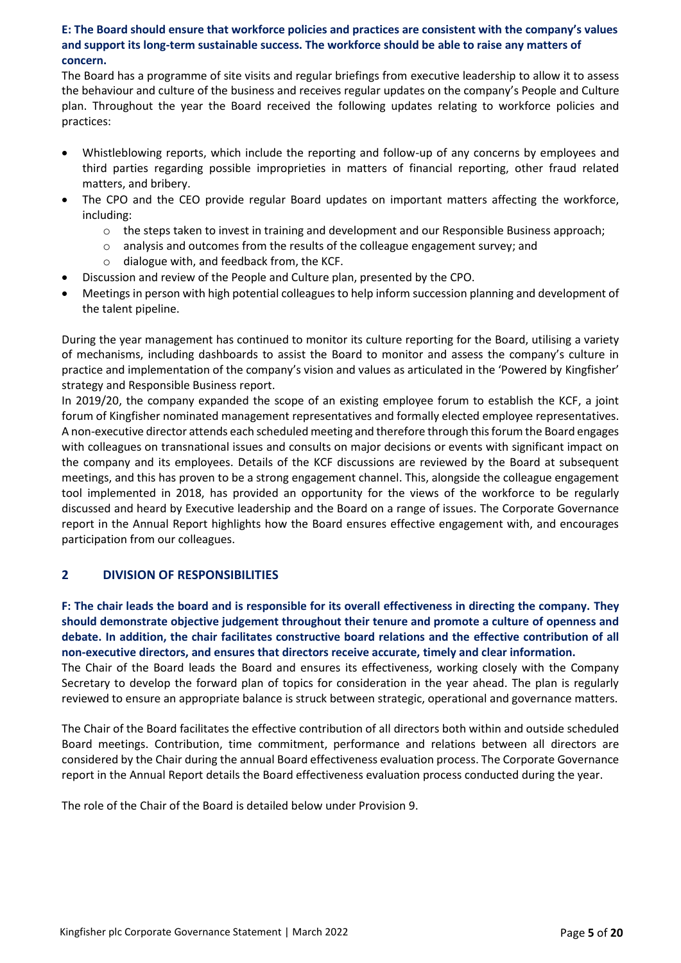## **E: The Board should ensure that workforce policies and practices are consistent with the company's values and support its long-term sustainable success. The workforce should be able to raise any matters of concern.**

The Board has a programme of site visits and regular briefings from executive leadership to allow it to assess the behaviour and culture of the business and receives regular updates on the company's People and Culture plan. Throughout the year the Board received the following updates relating to workforce policies and practices:

- Whistleblowing reports, which include the reporting and follow-up of any concerns by employees and third parties regarding possible improprieties in matters of financial reporting, other fraud related matters, and bribery.
- The CPO and the CEO provide regular Board updates on important matters affecting the workforce, including:
	- $\circ$  the steps taken to invest in training and development and our Responsible Business approach;
	- $\circ$  analysis and outcomes from the results of the colleague engagement survey; and
	- o dialogue with, and feedback from, the KCF.
- Discussion and review of the People and Culture plan, presented by the CPO.
- Meetings in person with high potential colleagues to help inform succession planning and development of the talent pipeline.

During the year management has continued to monitor its culture reporting for the Board, utilising a variety of mechanisms, including dashboards to assist the Board to monitor and assess the company's culture in practice and implementation of the company's vision and values as articulated in the 'Powered by Kingfisher' strategy and Responsible Business report.

In 2019/20, the company expanded the scope of an existing employee forum to establish the KCF, a joint forum of Kingfisher nominated management representatives and formally elected employee representatives. A non-executive director attends each scheduled meeting and therefore through this forum the Board engages with colleagues on transnational issues and consults on major decisions or events with significant impact on the company and its employees. Details of the KCF discussions are reviewed by the Board at subsequent meetings, and this has proven to be a strong engagement channel. This, alongside the colleague engagement tool implemented in 2018, has provided an opportunity for the views of the workforce to be regularly discussed and heard by Executive leadership and the Board on a range of issues. The Corporate Governance report in the Annual Report highlights how the Board ensures effective engagement with, and encourages participation from our colleagues.

# **2 DIVISION OF RESPONSIBILITIES**

**F: The chair leads the board and is responsible for its overall effectiveness in directing the company. They should demonstrate objective judgement throughout their tenure and promote a culture of openness and debate. In addition, the chair facilitates constructive board relations and the effective contribution of all non-executive directors, and ensures that directors receive accurate, timely and clear information.** 

The Chair of the Board leads the Board and ensures its effectiveness, working closely with the Company Secretary to develop the forward plan of topics for consideration in the year ahead. The plan is regularly reviewed to ensure an appropriate balance is struck between strategic, operational and governance matters.

The Chair of the Board facilitates the effective contribution of all directors both within and outside scheduled Board meetings. Contribution, time commitment, performance and relations between all directors are considered by the Chair during the annual Board effectiveness evaluation process. The Corporate Governance report in the Annual Report details the Board effectiveness evaluation process conducted during the year.

The role of the Chair of the Board is detailed below under Provision 9.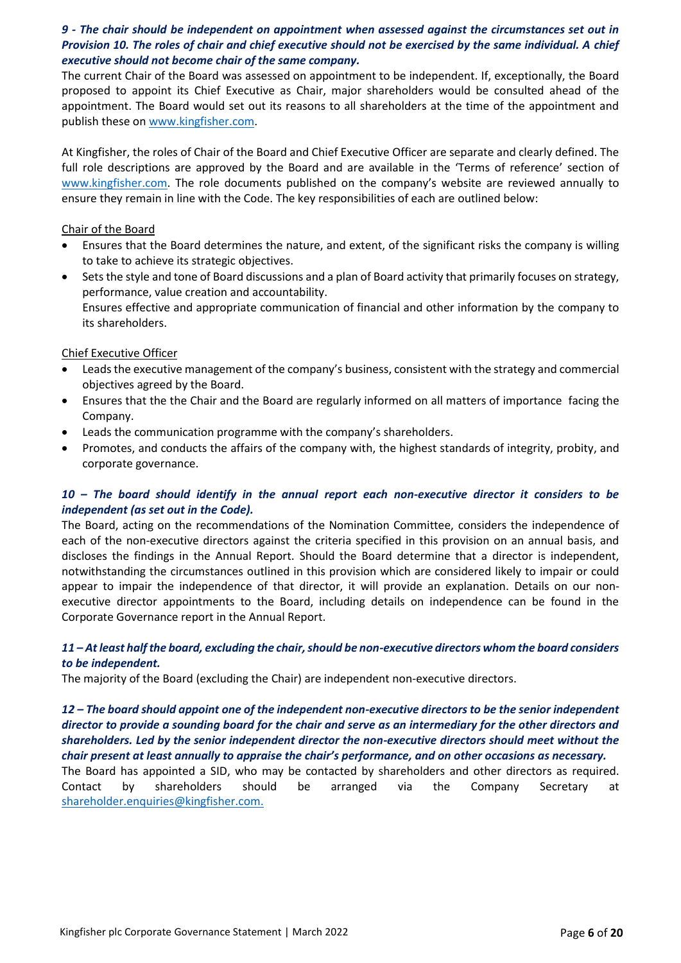# *9 - The chair should be independent on appointment when assessed against the circumstances set out in Provision 10. The roles of chair and chief executive should not be exercised by the same individual. A chief executive should not become chair of the same company.*

The current Chair of the Board was assessed on appointment to be independent. If, exceptionally, the Board proposed to appoint its Chief Executive as Chair, major shareholders would be consulted ahead of the appointment. The Board would set out its reasons to all shareholders at the time of the appointment and publish these on [www.kingfisher.com.](http://www.kingfisher.com/)

At Kingfisher, the roles of Chair of the Board and Chief Executive Officer are separate and clearly defined. The full role descriptions are approved by the Board and are available in the 'Terms of reference' section of [www.kingfisher.com.](http://www.kingfisher.com/) The role documents published on the company's website are reviewed annually to ensure they remain in line with the Code. The key responsibilities of each are outlined below:

#### Chair of the Board

- Ensures that the Board determines the nature, and extent, of the significant risks the company is willing to take to achieve its strategic objectives.
- Sets the style and tone of Board discussions and a plan of Board activity that primarily focuses on strategy, performance, value creation and accountability. Ensures effective and appropriate communication of financial and other information by the company to its shareholders.

#### Chief Executive Officer

- Leads the executive management of the company's business, consistent with the strategy and commercial objectives agreed by the Board.
- Ensures that the the Chair and the Board are regularly informed on all matters of importance facing the Company.
- Leads the communication programme with the company's shareholders.
- Promotes, and conducts the affairs of the company with, the highest standards of integrity, probity, and corporate governance.

# *10 – The board should identify in the annual report each non-executive director it considers to be independent (as set out in the Code).*

The Board, acting on the recommendations of the Nomination Committee, considers the independence of each of the non-executive directors against the criteria specified in this provision on an annual basis, and discloses the findings in the Annual Report. Should the Board determine that a director is independent, notwithstanding the circumstances outlined in this provision which are considered likely to impair or could appear to impair the independence of that director, it will provide an explanation. Details on our nonexecutive director appointments to the Board, including details on independence can be found in the Corporate Governance report in the Annual Report.

#### *11 – At least half the board, excluding the chair, should be non-executive directors whom the board considers to be independent.*

The majority of the Board (excluding the Chair) are independent non-executive directors.

## *12 – The board should appoint one of the independent non-executive directors to be the senior independent director to provide a sounding board for the chair and serve as an intermediary for the other directors and shareholders. Led by the senior independent director the non-executive directors should meet without the chair present at least annually to appraise the chair's performance, and on other occasions as necessary.*

The Board has appointed a SID, who may be contacted by shareholders and other directors as required. Contact by shareholders should be arranged via the Company Secretary at [shareholder.enquiries@kingfisher.com.](mailto:shareholder.enquiries@kingfisher.com)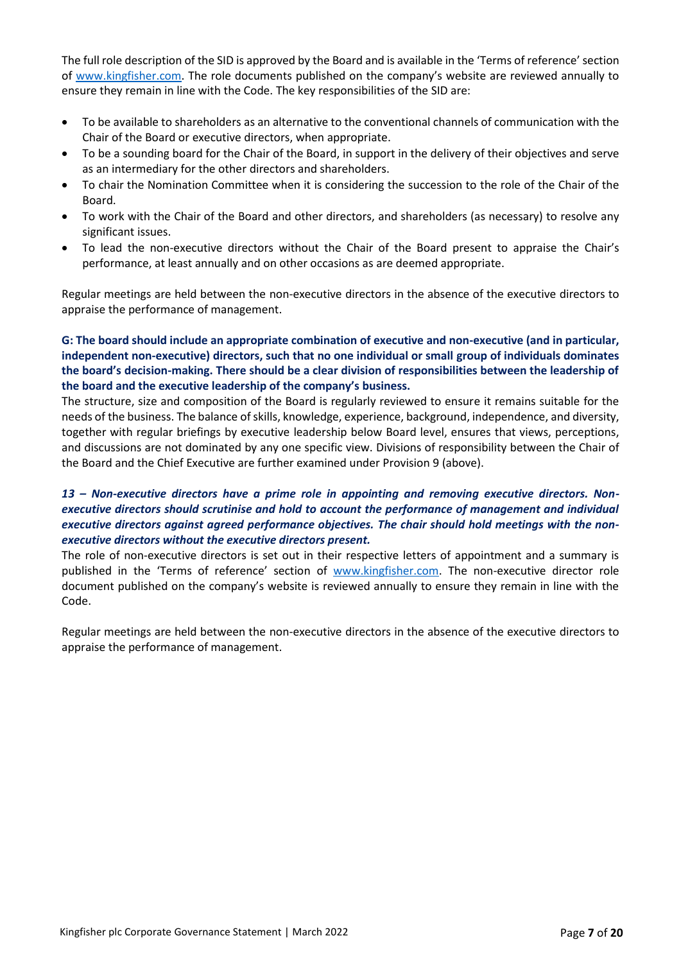The full role description of the SID is approved by the Board and is available in the 'Terms of reference' section of [www.kingfisher.com.](http://www.kingfisher.com/) The role documents published on the company's website are reviewed annually to ensure they remain in line with the Code. The key responsibilities of the SID are:

- To be available to shareholders as an alternative to the conventional channels of communication with the Chair of the Board or executive directors, when appropriate.
- To be a sounding board for the Chair of the Board, in support in the delivery of their objectives and serve as an intermediary for the other directors and shareholders.
- To chair the Nomination Committee when it is considering the succession to the role of the Chair of the Board.
- To work with the Chair of the Board and other directors, and shareholders (as necessary) to resolve any significant issues.
- To lead the non-executive directors without the Chair of the Board present to appraise the Chair's performance, at least annually and on other occasions as are deemed appropriate.

Regular meetings are held between the non-executive directors in the absence of the executive directors to appraise the performance of management.

# **G: The board should include an appropriate combination of executive and non-executive (and in particular, independent non-executive) directors, such that no one individual or small group of individuals dominates the board's decision-making. There should be a clear division of responsibilities between the leadership of the board and the executive leadership of the company's business.**

The structure, size and composition of the Board is regularly reviewed to ensure it remains suitable for the needs of the business. The balance of skills, knowledge, experience, background, independence, and diversity, together with regular briefings by executive leadership below Board level, ensures that views, perceptions, and discussions are not dominated by any one specific view. Divisions of responsibility between the Chair of the Board and the Chief Executive are further examined under Provision 9 (above).

# *13 – Non-executive directors have a prime role in appointing and removing executive directors. Nonexecutive directors should scrutinise and hold to account the performance of management and individual executive directors against agreed performance objectives. The chair should hold meetings with the nonexecutive directors without the executive directors present.*

The role of non-executive directors is set out in their respective letters of appointment and a summary is published in the 'Terms of reference' section of [www.kingfisher.com.](http://www.kingfisher.com/) The non-executive director role document published on the company's website is reviewed annually to ensure they remain in line with the Code.

Regular meetings are held between the non-executive directors in the absence of the executive directors to appraise the performance of management.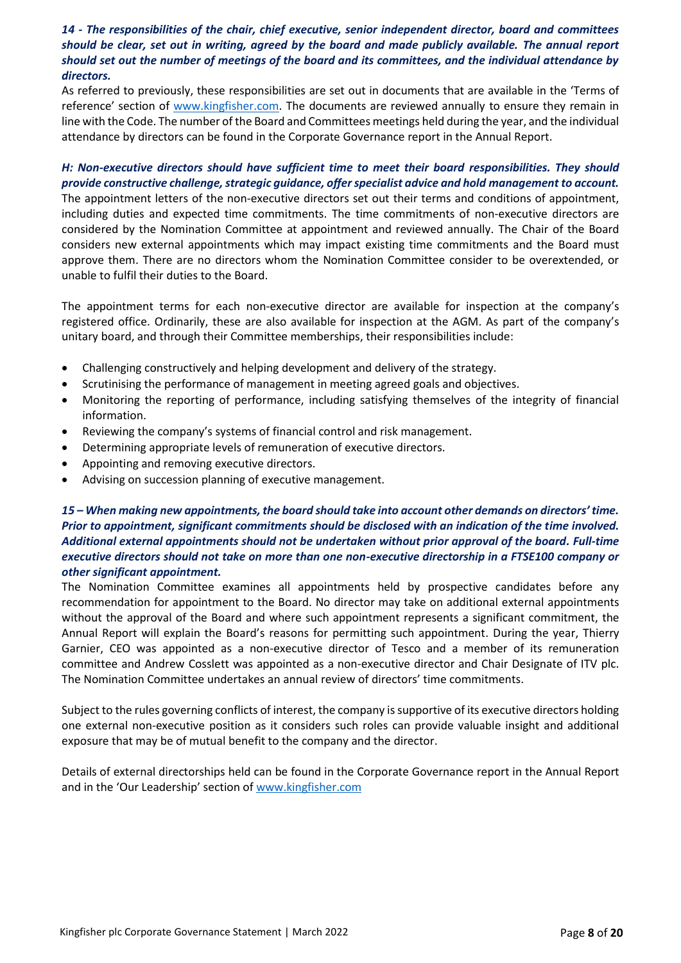## *14 - The responsibilities of the chair, chief executive, senior independent director, board and committees should be clear, set out in writing, agreed by the board and made publicly available. The annual report should set out the number of meetings of the board and its committees, and the individual attendance by directors.*

As referred to previously, these responsibilities are set out in documents that are available in the 'Terms of reference' section of [www.kingfisher.com.](http://www.kingfisher.com/) The documents are reviewed annually to ensure they remain in line with the Code. The number of the Board and Committees meetings held during the year, and the individual attendance by directors can be found in the Corporate Governance report in the Annual Report.

# *H: Non-executive directors should have sufficient time to meet their board responsibilities. They should provide constructive challenge, strategic guidance, offer specialist advice and hold management to account.*

The appointment letters of the non-executive directors set out their terms and conditions of appointment, including duties and expected time commitments. The time commitments of non-executive directors are considered by the Nomination Committee at appointment and reviewed annually. The Chair of the Board considers new external appointments which may impact existing time commitments and the Board must approve them. There are no directors whom the Nomination Committee consider to be overextended, or unable to fulfil their duties to the Board.

The appointment terms for each non-executive director are available for inspection at the company's registered office. Ordinarily, these are also available for inspection at the AGM. As part of the company's unitary board, and through their Committee memberships, their responsibilities include:

- Challenging constructively and helping development and delivery of the strategy.
- Scrutinising the performance of management in meeting agreed goals and objectives.
- Monitoring the reporting of performance, including satisfying themselves of the integrity of financial information.
- Reviewing the company's systems of financial control and risk management.
- Determining appropriate levels of remuneration of executive directors.
- Appointing and removing executive directors.
- Advising on succession planning of executive management.

## *15 – When making new appointments, the board should take into account other demands on directors' time. Prior to appointment, significant commitments should be disclosed with an indication of the time involved. Additional external appointments should not be undertaken without prior approval of the board. Full-time executive directors should not take on more than one non-executive directorship in a FTSE100 company or other significant appointment.*

The Nomination Committee examines all appointments held by prospective candidates before any recommendation for appointment to the Board. No director may take on additional external appointments without the approval of the Board and where such appointment represents a significant commitment, the Annual Report will explain the Board's reasons for permitting such appointment. During the year, Thierry Garnier, CEO was appointed as a non-executive director of Tesco and a member of its remuneration committee and Andrew Cosslett was appointed as a non-executive director and Chair Designate of ITV plc. The Nomination Committee undertakes an annual review of directors' time commitments.

Subject to the rules governing conflicts of interest, the company is supportive of its executive directors holding one external non-executive position as it considers such roles can provide valuable insight and additional exposure that may be of mutual benefit to the company and the director.

Details of external directorships held can be found in the Corporate Governance report in the Annual Report and in the 'Our Leadership' section of [www.kingfisher.com](http://www.kingfisher.com/)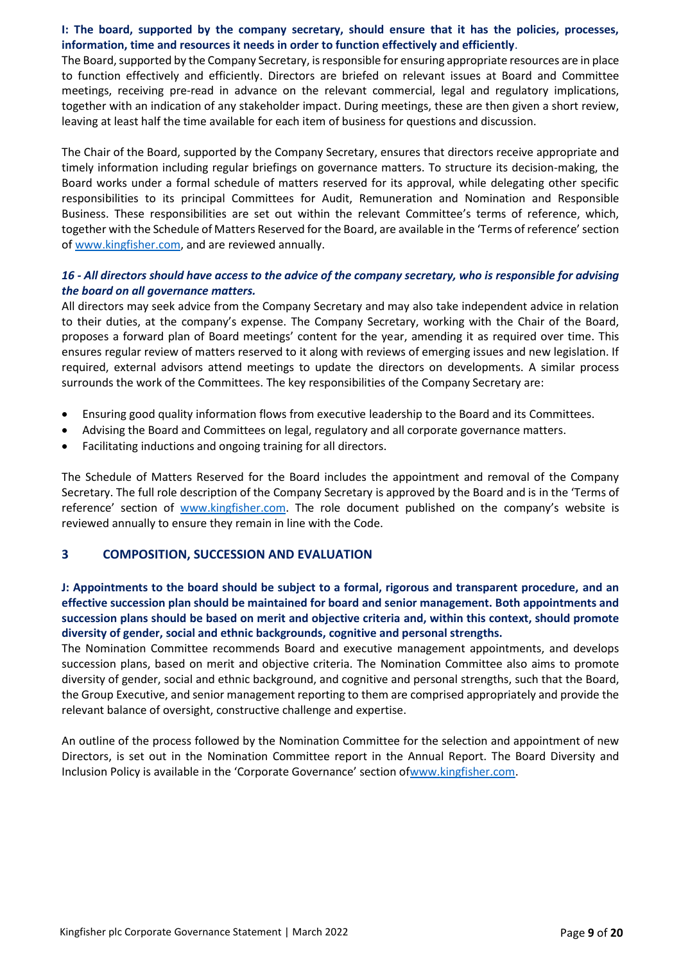#### **I: The board, supported by the company secretary, should ensure that it has the policies, processes, information, time and resources it needs in order to function effectively and efficiently**.

The Board, supported by the Company Secretary, is responsible for ensuring appropriate resources are in place to function effectively and efficiently. Directors are briefed on relevant issues at Board and Committee meetings, receiving pre-read in advance on the relevant commercial, legal and regulatory implications, together with an indication of any stakeholder impact. During meetings, these are then given a short review, leaving at least half the time available for each item of business for questions and discussion.

The Chair of the Board, supported by the Company Secretary, ensures that directors receive appropriate and timely information including regular briefings on governance matters. To structure its decision-making, the Board works under a formal schedule of matters reserved for its approval, while delegating other specific responsibilities to its principal Committees for Audit, Remuneration and Nomination and Responsible Business. These responsibilities are set out within the relevant Committee's terms of reference, which, together with the Schedule of Matters Reserved for the Board, are available in the 'Terms of reference' section o[f www.kingfisher.com,](http://www.kingfisher.com/) and are reviewed annually.

## *16 - All directors should have access to the advice of the company secretary, who is responsible for advising the board on all governance matters.*

All directors may seek advice from the Company Secretary and may also take independent advice in relation to their duties, at the company's expense. The Company Secretary, working with the Chair of the Board, proposes a forward plan of Board meetings' content for the year, amending it as required over time. This ensures regular review of matters reserved to it along with reviews of emerging issues and new legislation. If required, external advisors attend meetings to update the directors on developments. A similar process surrounds the work of the Committees. The key responsibilities of the Company Secretary are:

- Ensuring good quality information flows from executive leadership to the Board and its Committees.
- Advising the Board and Committees on legal, regulatory and all corporate governance matters.
- Facilitating inductions and ongoing training for all directors.

The Schedule of Matters Reserved for the Board includes the appointment and removal of the Company Secretary. The full role description of the Company Secretary is approved by the Board and is in the 'Terms of reference' section of [www.kingfisher.com.](http://www.kingfisher.com/) The role document published on the company's website is reviewed annually to ensure they remain in line with the Code.

# **3 COMPOSITION, SUCCESSION AND EVALUATION**

# **J: Appointments to the board should be subject to a formal, rigorous and transparent procedure, and an effective succession plan should be maintained for board and senior management. Both appointments and succession plans should be based on merit and objective criteria and, within this context, should promote diversity of gender, social and ethnic backgrounds, cognitive and personal strengths.**

The Nomination Committee recommends Board and executive management appointments, and develops succession plans, based on merit and objective criteria. The Nomination Committee also aims to promote diversity of gender, social and ethnic background, and cognitive and personal strengths, such that the Board, the Group Executive, and senior management reporting to them are comprised appropriately and provide the relevant balance of oversight, constructive challenge and expertise.

An outline of the process followed by the Nomination Committee for the selection and appointment of new Directors, is set out in the Nomination Committee report in the Annual Report. The Board Diversity and Inclusion Policy is available in the 'Corporate Governance' section of[www.kingfisher.com.](http://www.kingfisher.com/)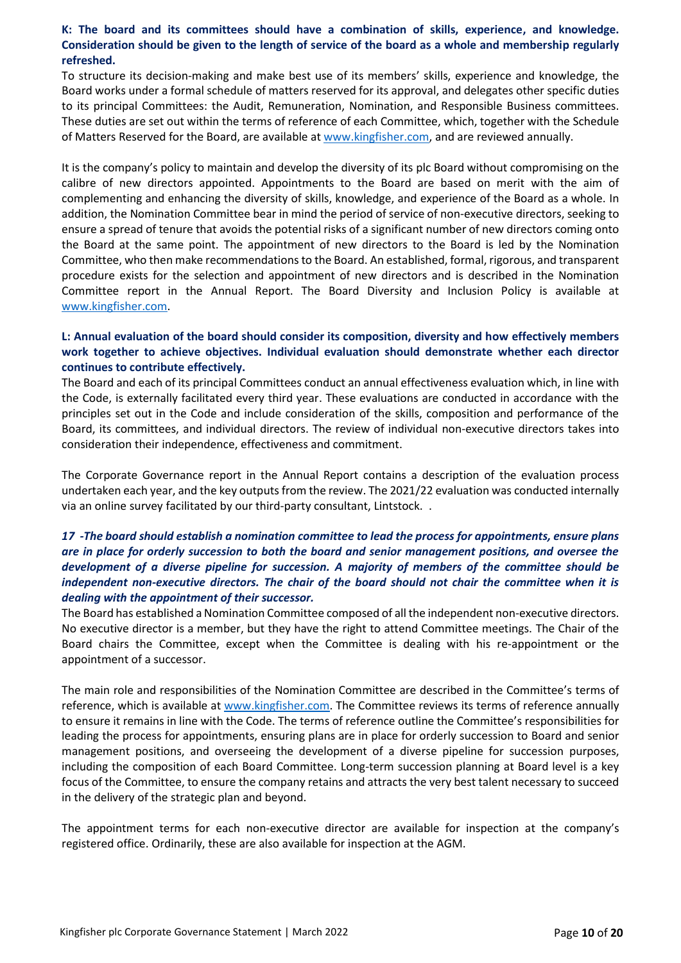# **K: The board and its committees should have a combination of skills, experience, and knowledge. Consideration should be given to the length of service of the board as a whole and membership regularly refreshed.**

To structure its decision-making and make best use of its members' skills, experience and knowledge, the Board works under a formal schedule of matters reserved for its approval, and delegates other specific duties to its principal Committees: the Audit, Remuneration, Nomination, and Responsible Business committees. These duties are set out within the terms of reference of each Committee, which, together with the Schedule of Matters Reserved for the Board, are available at [www.kingfisher.com,](http://www.kingfisher.com/) and are reviewed annually.

It is the company's policy to maintain and develop the diversity of its plc Board without compromising on the calibre of new directors appointed. Appointments to the Board are based on merit with the aim of complementing and enhancing the diversity of skills, knowledge, and experience of the Board as a whole. In addition, the Nomination Committee bear in mind the period of service of non-executive directors, seeking to ensure a spread of tenure that avoids the potential risks of a significant number of new directors coming onto the Board at the same point. The appointment of new directors to the Board is led by the Nomination Committee, who then make recommendations to the Board. An established, formal, rigorous, and transparent procedure exists for the selection and appointment of new directors and is described in the Nomination Committee report in the Annual Report. The Board Diversity and Inclusion Policy is available at [www.kingfisher.com.](http://www.kingfisher.com/)

#### **L: Annual evaluation of the board should consider its composition, diversity and how effectively members work together to achieve objectives. Individual evaluation should demonstrate whether each director continues to contribute effectively.**

The Board and each of its principal Committees conduct an annual effectiveness evaluation which, in line with the Code, is externally facilitated every third year. These evaluations are conducted in accordance with the principles set out in the Code and include consideration of the skills, composition and performance of the Board, its committees, and individual directors. The review of individual non-executive directors takes into consideration their independence, effectiveness and commitment.

The Corporate Governance report in the Annual Report contains a description of the evaluation process undertaken each year, and the key outputsfrom the review. The 2021/22 evaluation was conducted internally via an online survey facilitated by our third-party consultant, Lintstock. .

## *17 -The board should establish a nomination committee to lead the process for appointments, ensure plans are in place for orderly succession to both the board and senior management positions, and oversee the development of a diverse pipeline for succession. A majority of members of the committee should be independent non-executive directors. The chair of the board should not chair the committee when it is dealing with the appointment of their successor.*

The Board has established a Nomination Committee composed of all the independent non-executive directors. No executive director is a member, but they have the right to attend Committee meetings. The Chair of the Board chairs the Committee, except when the Committee is dealing with his re-appointment or the appointment of a successor.

The main role and responsibilities of the Nomination Committee are described in the Committee's terms of reference, which is available at [www.kingfisher.com.](http://www.kingfisher.com/) The Committee reviews its terms of reference annually to ensure it remains in line with the Code. The terms of reference outline the Committee's responsibilities for leading the process for appointments, ensuring plans are in place for orderly succession to Board and senior management positions, and overseeing the development of a diverse pipeline for succession purposes, including the composition of each Board Committee. Long-term succession planning at Board level is a key focus of the Committee, to ensure the company retains and attracts the very best talent necessary to succeed in the delivery of the strategic plan and beyond.

The appointment terms for each non-executive director are available for inspection at the company's registered office. Ordinarily, these are also available for inspection at the AGM.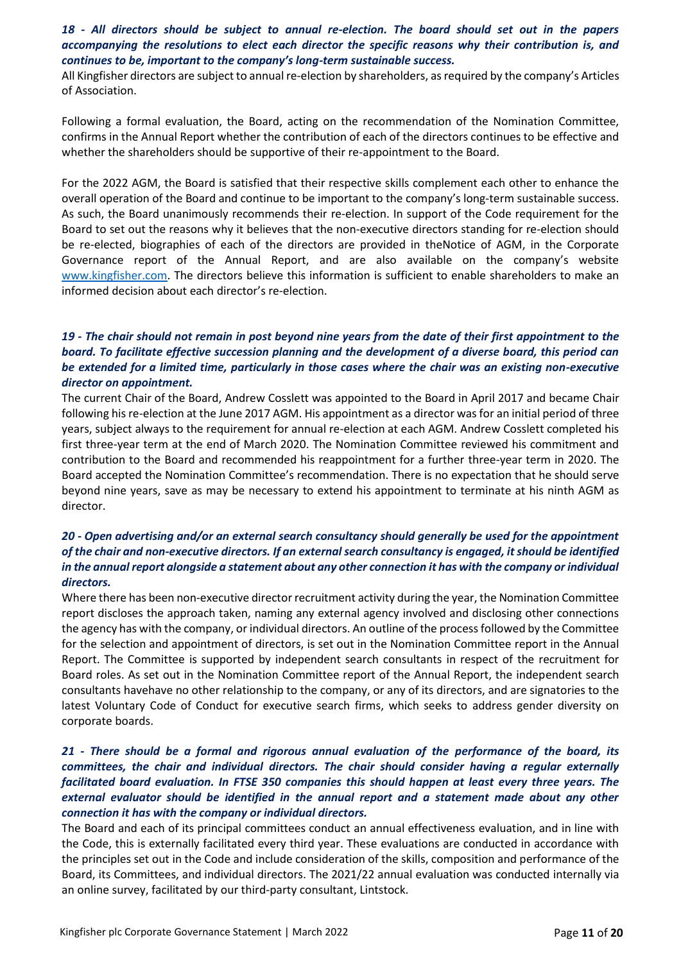## *18 - All directors should be subject to annual re-election. The board should set out in the papers accompanying the resolutions to elect each director the specific reasons why their contribution is, and continues to be, important to the company's long-term sustainable success.*

All Kingfisher directors are subject to annual re-election by shareholders, as required by the company's Articles of Association.

Following a formal evaluation, the Board, acting on the recommendation of the Nomination Committee, confirms in the Annual Report whether the contribution of each of the directors continues to be effective and whether the shareholders should be supportive of their re-appointment to the Board.

For the 2022 AGM, the Board is satisfied that their respective skills complement each other to enhance the overall operation of the Board and continue to be important to the company's long-term sustainable success. As such, the Board unanimously recommends their re-election. In support of the Code requirement for the Board to set out the reasons why it believes that the non-executive directors standing for re-election should be re-elected, biographies of each of the directors are provided in theNotice of AGM, in the Corporate Governance report of the Annual Report, and are also available on the company's website [www.kingfisher.com.](http://www.kingfisher.com/) The directors believe this information is sufficient to enable shareholders to make an informed decision about each director's re-election.

## *19 - The chair should not remain in post beyond nine years from the date of their first appointment to the board. To facilitate effective succession planning and the development of a diverse board, this period can be extended for a limited time, particularly in those cases where the chair was an existing non-executive director on appointment.*

The current Chair of the Board, Andrew Cosslett was appointed to the Board in April 2017 and became Chair following his re-election at the June 2017 AGM. His appointment as a director was for an initial period of three years, subject always to the requirement for annual re-election at each AGM. Andrew Cosslett completed his first three-year term at the end of March 2020. The Nomination Committee reviewed his commitment and contribution to the Board and recommended his reappointment for a further three-year term in 2020. The Board accepted the Nomination Committee's recommendation. There is no expectation that he should serve beyond nine years, save as may be necessary to extend his appointment to terminate at his ninth AGM as director.

#### *20 - Open advertising and/or an external search consultancy should generally be used for the appointment of the chair and non-executive directors. If an external search consultancy is engaged, it should be identified in the annual report alongside a statement about any other connection it has with the company or individual directors.*

Where there has been non-executive director recruitment activity during the year, the Nomination Committee report discloses the approach taken, naming any external agency involved and disclosing other connections the agency has with the company, or individual directors. An outline of the process followed by the Committee for the selection and appointment of directors, is set out in the Nomination Committee report in the Annual Report. The Committee is supported by independent search consultants in respect of the recruitment for Board roles. As set out in the Nomination Committee report of the Annual Report, the independent search consultants havehave no other relationship to the company, or any of its directors, and are signatories to the latest Voluntary Code of Conduct for executive search firms, which seeks to address gender diversity on corporate boards.

# *21 - There should be a formal and rigorous annual evaluation of the performance of the board, its committees, the chair and individual directors. The chair should consider having a regular externally facilitated board evaluation. In FTSE 350 companies this should happen at least every three years. The external evaluator should be identified in the annual report and a statement made about any other connection it has with the company or individual directors.*

The Board and each of its principal committees conduct an annual effectiveness evaluation, and in line with the Code, this is externally facilitated every third year. These evaluations are conducted in accordance with the principles set out in the Code and include consideration of the skills, composition and performance of the Board, its Committees, and individual directors. The 2021/22 annual evaluation was conducted internally via an online survey, facilitated by our third-party consultant, Lintstock.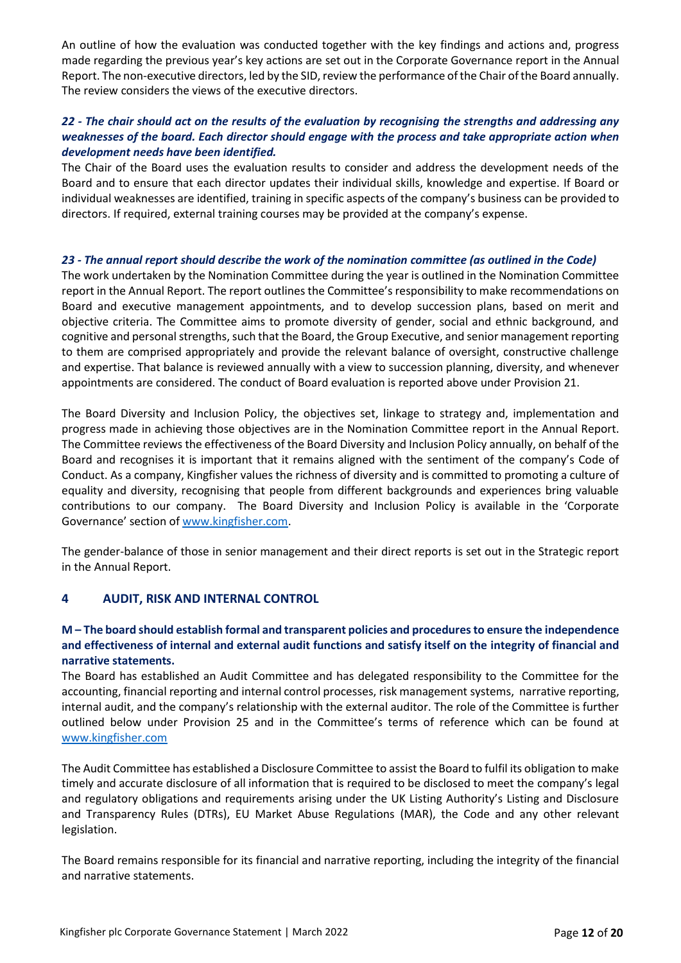An outline of how the evaluation was conducted together with the key findings and actions and, progress made regarding the previous year's key actions are set out in the Corporate Governance report in the Annual Report. The non-executive directors, led by the SID, review the performance of the Chair of the Board annually. The review considers the views of the executive directors.

## *22 - The chair should act on the results of the evaluation by recognising the strengths and addressing any weaknesses of the board. Each director should engage with the process and take appropriate action when development needs have been identified.*

The Chair of the Board uses the evaluation results to consider and address the development needs of the Board and to ensure that each director updates their individual skills, knowledge and expertise. If Board or individual weaknesses are identified, training in specific aspects of the company's business can be provided to directors. If required, external training courses may be provided at the company's expense.

#### *23 - The annual report should describe the work of the nomination committee (as outlined in the Code)*

The work undertaken by the Nomination Committee during the year is outlined in the Nomination Committee report in the Annual Report. The report outlines the Committee's responsibility to make recommendations on Board and executive management appointments, and to develop succession plans, based on merit and objective criteria. The Committee aims to promote diversity of gender, social and ethnic background, and cognitive and personal strengths, such that the Board, the Group Executive, and senior management reporting to them are comprised appropriately and provide the relevant balance of oversight, constructive challenge and expertise. That balance is reviewed annually with a view to succession planning, diversity, and whenever appointments are considered. The conduct of Board evaluation is reported above under Provision 21.

The Board Diversity and Inclusion Policy, the objectives set, linkage to strategy and, implementation and progress made in achieving those objectives are in the Nomination Committee report in the Annual Report. The Committee reviews the effectiveness of the Board Diversity and Inclusion Policy annually, on behalf of the Board and recognises it is important that it remains aligned with the sentiment of the company's Code of Conduct. As a company, Kingfisher values the richness of diversity and is committed to promoting a culture of equality and diversity, recognising that people from different backgrounds and experiences bring valuable contributions to our company. The Board Diversity and Inclusion Policy is available in the 'Corporate Governance' section of [www.kingfisher.com.](http://www.kingfisher.com/)

The gender-balance of those in senior management and their direct reports is set out in the Strategic report in the Annual Report.

# **4 AUDIT, RISK AND INTERNAL CONTROL**

## **M – The board should establish formal and transparent policies and procedures to ensure the independence and effectiveness of internal and external audit functions and satisfy itself on the integrity of financial and narrative statements.**

The Board has established an Audit Committee and has delegated responsibility to the Committee for the accounting, financial reporting and internal control processes, risk management systems, narrative reporting, internal audit, and the company's relationship with the external auditor. The role of the Committee is further outlined below under Provision 25 and in the Committee's terms of reference which can be found at [www.kingfisher.com](http://www.kingfisher.com/)

The Audit Committee has established a Disclosure Committee to assist the Board to fulfil its obligation to make timely and accurate disclosure of all information that is required to be disclosed to meet the company's legal and regulatory obligations and requirements arising under the UK Listing Authority's Listing and Disclosure and Transparency Rules (DTRs), EU Market Abuse Regulations (MAR), the Code and any other relevant legislation.

The Board remains responsible for its financial and narrative reporting, including the integrity of the financial and narrative statements.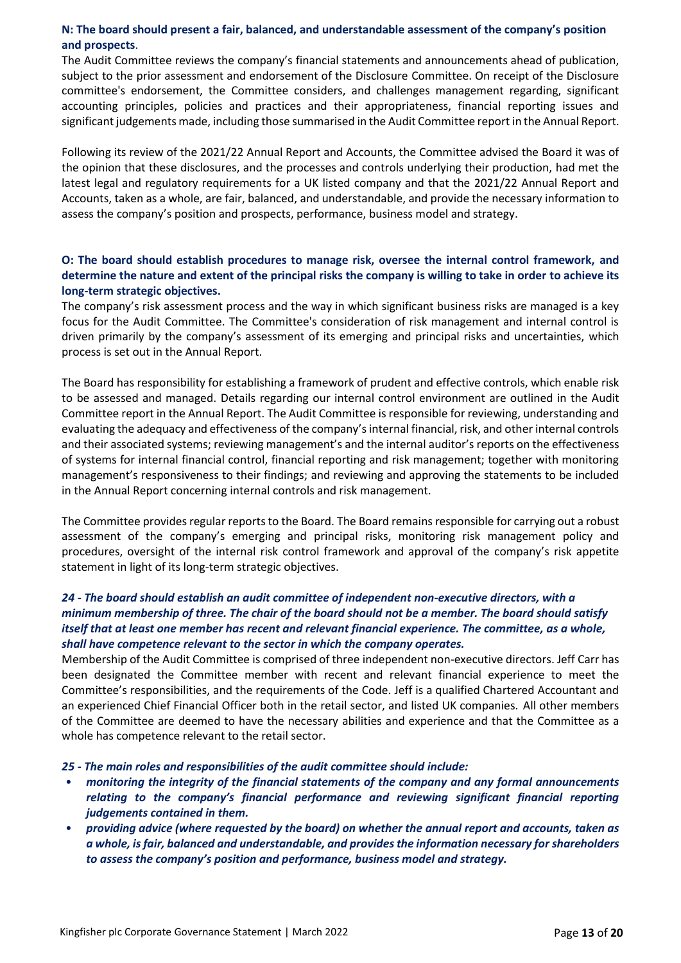## **N: The board should present a fair, balanced, and understandable assessment of the company's position and prospects**.

The Audit Committee reviews the company's financial statements and announcements ahead of publication, subject to the prior assessment and endorsement of the Disclosure Committee. On receipt of the Disclosure committee's endorsement, the Committee considers, and challenges management regarding, significant accounting principles, policies and practices and their appropriateness, financial reporting issues and significant judgements made, including those summarised in the Audit Committee report in the Annual Report.

Following its review of the 2021/22 Annual Report and Accounts, the Committee advised the Board it was of the opinion that these disclosures, and the processes and controls underlying their production, had met the latest legal and regulatory requirements for a UK listed company and that the 2021/22 Annual Report and Accounts, taken as a whole, are fair, balanced, and understandable, and provide the necessary information to assess the company's position and prospects, performance, business model and strategy.

## **O: The board should establish procedures to manage risk, oversee the internal control framework, and determine the nature and extent of the principal risks the company is willing to take in order to achieve its long-term strategic objectives.**

The company's risk assessment process and the way in which significant business risks are managed is a key focus for the Audit Committee. The Committee's consideration of risk management and internal control is driven primarily by the company's assessment of its emerging and principal risks and uncertainties, which process is set out in the Annual Report.

The Board has responsibility for establishing a framework of prudent and effective controls, which enable risk to be assessed and managed. Details regarding our internal control environment are outlined in the Audit Committee report in the Annual Report. The Audit Committee is responsible for reviewing, understanding and evaluating the adequacy and effectiveness of the company's internal financial, risk, and other internal controls and their associated systems; reviewing management's and the internal auditor's reports on the effectiveness of systems for internal financial control, financial reporting and risk management; together with monitoring management's responsiveness to their findings; and reviewing and approving the statements to be included in the Annual Report concerning internal controls and risk management.

The Committee provides regular reports to the Board. The Board remains responsible for carrying out a robust assessment of the company's emerging and principal risks, monitoring risk management policy and procedures, oversight of the internal risk control framework and approval of the company's risk appetite statement in light of its long-term strategic objectives.

# *24 - The board should establish an audit committee of independent non-executive directors, with a minimum membership of three. The chair of the board should not be a member. The board should satisfy itself that at least one member has recent and relevant financial experience. The committee, as a whole, shall have competence relevant to the sector in which the company operates.*

Membership of the Audit Committee is comprised of three independent non-executive directors. Jeff Carr has been designated the Committee member with recent and relevant financial experience to meet the Committee's responsibilities, and the requirements of the Code. Jeff is a qualified Chartered Accountant and an experienced Chief Financial Officer both in the retail sector, and listed UK companies. All other members of the Committee are deemed to have the necessary abilities and experience and that the Committee as a whole has competence relevant to the retail sector.

#### *25 - The main roles and responsibilities of the audit committee should include:*

- *monitoring the integrity of the financial statements of the company and any formal announcements relating to the company's financial performance and reviewing significant financial reporting judgements contained in them.*
- *providing advice (where requested by the board) on whether the annual report and accounts, taken as a whole, is fair, balanced and understandable, and provides the information necessary for shareholders to assess the company's position and performance, business model and strategy.*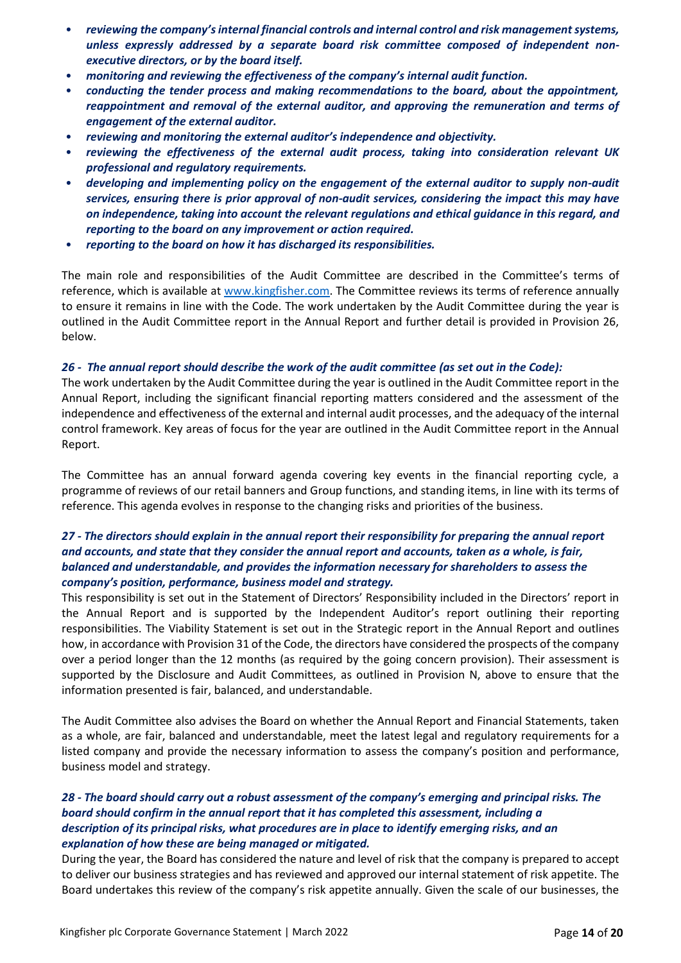- *reviewing the company's internal financial controls and internal control and risk management systems, unless expressly addressed by a separate board risk committee composed of independent nonexecutive directors, or by the board itself.*
- *monitoring and reviewing the effectiveness of the company's internal audit function.*
- *conducting the tender process and making recommendations to the board, about the appointment, reappointment and removal of the external auditor, and approving the remuneration and terms of engagement of the external auditor.*
- *reviewing and monitoring the external auditor's independence and objectivity.*
- *reviewing the effectiveness of the external audit process, taking into consideration relevant UK professional and regulatory requirements.*
- *developing and implementing policy on the engagement of the external auditor to supply non-audit services, ensuring there is prior approval of non-audit services, considering the impact this may have on independence, taking into account the relevant regulations and ethical guidance in this regard, and reporting to the board on any improvement or action required.*
- *reporting to the board on how it has discharged its responsibilities.*

The main role and responsibilities of the Audit Committee are described in the Committee's terms of reference, which is available at www.kingfisher.com. The Committee reviews its terms of reference annually to ensure it remains in line with the Code. The work undertaken by the Audit Committee during the year is outlined in the Audit Committee report in the Annual Report and further detail is provided in Provision 26, below.

#### *26 - The annual report should describe the work of the audit committee (as set out in the Code):*

The work undertaken by the Audit Committee during the year is outlined in the Audit Committee report in the Annual Report, including the significant financial reporting matters considered and the assessment of the independence and effectiveness of the external and internal audit processes, and the adequacy of the internal control framework. Key areas of focus for the year are outlined in the Audit Committee report in the Annual Report.

The Committee has an annual forward agenda covering key events in the financial reporting cycle, a programme of reviews of our retail banners and Group functions, and standing items, in line with its terms of reference. This agenda evolves in response to the changing risks and priorities of the business.

#### *27 - The directors should explain in the annual report their responsibility for preparing the annual report and accounts, and state that they consider the annual report and accounts, taken as a whole, is fair, balanced and understandable, and provides the information necessary for shareholders to assess the company's position, performance, business model and strategy.*

This responsibility is set out in the Statement of Directors' Responsibility included in the Directors' report in the Annual Report and is supported by the Independent Auditor's report outlining their reporting responsibilities. The Viability Statement is set out in the Strategic report in the Annual Report and outlines how, in accordance with Provision 31 of the Code, the directors have considered the prospects of the company over a period longer than the 12 months (as required by the going concern provision). Their assessment is supported by the Disclosure and Audit Committees, as outlined in Provision N, above to ensure that the information presented is fair, balanced, and understandable.

The Audit Committee also advises the Board on whether the Annual Report and Financial Statements, taken as a whole, are fair, balanced and understandable, meet the latest legal and regulatory requirements for a listed company and provide the necessary information to assess the company's position and performance, business model and strategy.

#### *28 - The board should carry out a robust assessment of the company's emerging and principal risks. The board should confirm in the annual report that it has completed this assessment, including a description of its principal risks, what procedures are in place to identify emerging risks, and an explanation of how these are being managed or mitigated.*

During the year, the Board has considered the nature and level of risk that the company is prepared to accept to deliver our business strategies and has reviewed and approved our internal statement of risk appetite. The Board undertakes this review of the company's risk appetite annually. Given the scale of our businesses, the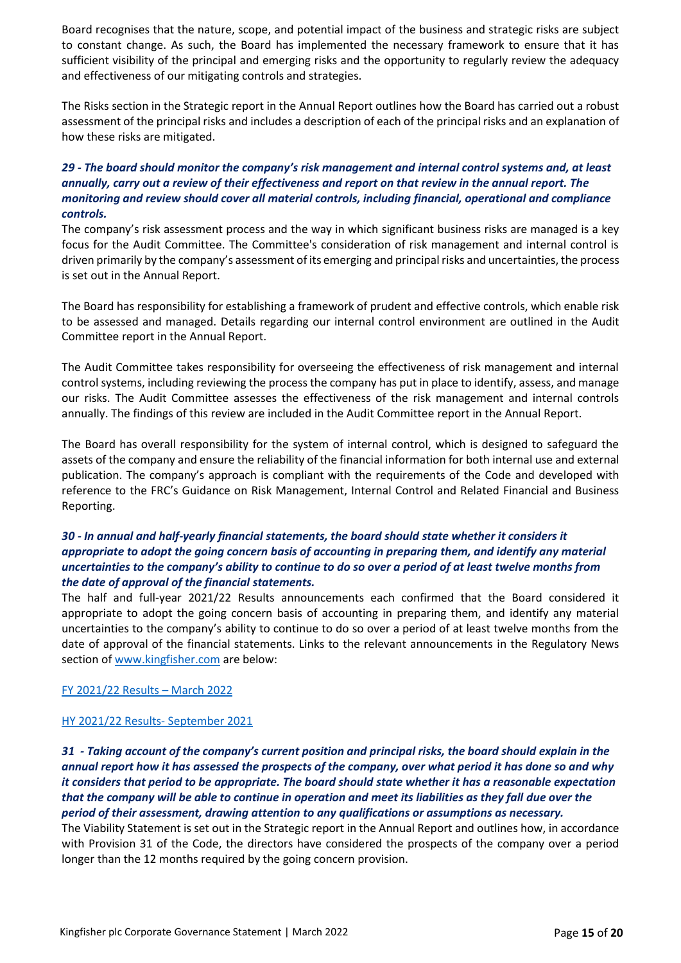Board recognises that the nature, scope, and potential impact of the business and strategic risks are subject to constant change. As such, the Board has implemented the necessary framework to ensure that it has sufficient visibility of the principal and emerging risks and the opportunity to regularly review the adequacy and effectiveness of our mitigating controls and strategies.

The Risks section in the Strategic report in the Annual Report outlines how the Board has carried out a robust assessment of the principal risks and includes a description of each of the principal risks and an explanation of how these risks are mitigated.

# *29 - The board should monitor the company's risk management and internal control systems and, at least annually, carry out a review of their effectiveness and report on that review in the annual report. The monitoring and review should cover all material controls, including financial, operational and compliance controls.*

The company's risk assessment process and the way in which significant business risks are managed is a key focus for the Audit Committee. The Committee's consideration of risk management and internal control is driven primarily by the company's assessment of its emerging and principal risks and uncertainties, the process is set out in the Annual Report.

The Board has responsibility for establishing a framework of prudent and effective controls, which enable risk to be assessed and managed. Details regarding our internal control environment are outlined in the Audit Committee report in the Annual Report.

The Audit Committee takes responsibility for overseeing the effectiveness of risk management and internal control systems, including reviewing the process the company has put in place to identify, assess, and manage our risks. The Audit Committee assesses the effectiveness of the risk management and internal controls annually. The findings of this review are included in the Audit Committee report in the Annual Report.

The Board has overall responsibility for the system of internal control, which is designed to safeguard the assets of the company and ensure the reliability of the financial information for both internal use and external publication. The company's approach is compliant with the requirements of the Code and developed with reference to the FRC's Guidance on Risk Management, Internal Control and Related Financial and Business Reporting.

#### *30 - In annual and half-yearly financial statements, the board should state whether it considers it appropriate to adopt the going concern basis of accounting in preparing them, and identify any material uncertainties to the company's ability to continue to do so over a period of at least twelve months from the date of approval of the financial statements.*

The half and full-year 2021/22 Results announcements each confirmed that the Board considered it appropriate to adopt the going concern basis of accounting in preparing them, and identify any material uncertainties to the company's ability to continue to do so over a period of at least twelve months from the date of approval of the financial statements. Links to the relevant announcements in the Regulatory News section o[f www.kingfisher.com](http://www.kingfisher.com/) are below:

[FY 2021/22](https://irpages2.equitystory.com/websites/rns_news/English/1100/news-tool---rns---eqs-group.html?article=32547231&company=kingfisher&webview=1) Results – March 2022

#### HY 2021/22 Results- [September 2021](https://irpages2.equitystory.com/websites/rns_news/English/1100/news-tool---rns---eqs-group.html?article=32134944&company=kingfisher&webview=1)

*31 - Taking account of the company's current position and principal risks, the board should explain in the annual report how it has assessed the prospects of the company, over what period it has done so and why it considers that period to be appropriate. The board should state whether it has a reasonable expectation that the company will be able to continue in operation and meet its liabilities as they fall due over the period of their assessment, drawing attention to any qualifications or assumptions as necessary.*

The Viability Statement is set out in the Strategic report in the Annual Report and outlines how, in accordance with Provision 31 of the Code, the directors have considered the prospects of the company over a period longer than the 12 months required by the going concern provision.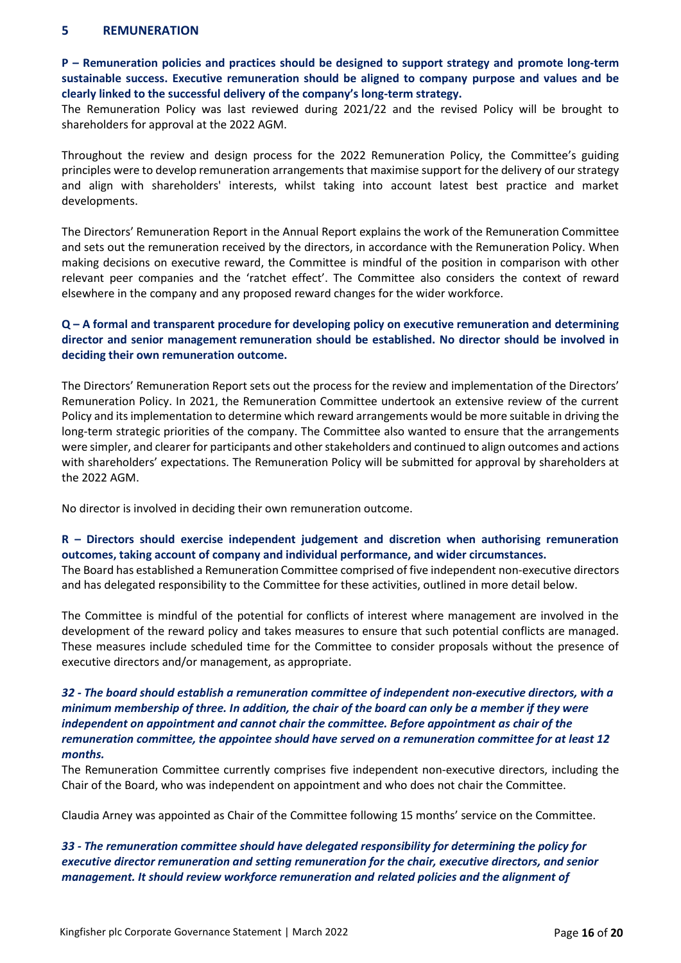#### **5 REMUNERATION**

**P – Remuneration policies and practices should be designed to support strategy and promote long-term sustainable success. Executive remuneration should be aligned to company purpose and values and be clearly linked to the successful delivery of the company's long-term strategy.** 

The Remuneration Policy was last reviewed during 2021/22 and the revised Policy will be brought to shareholders for approval at the 2022 AGM.

Throughout the review and design process for the 2022 Remuneration Policy, the Committee's guiding principles were to develop remuneration arrangements that maximise support for the delivery of our strategy and align with shareholders' interests, whilst taking into account latest best practice and market developments.

The Directors' Remuneration Report in the Annual Report explains the work of the Remuneration Committee and sets out the remuneration received by the directors, in accordance with the Remuneration Policy. When making decisions on executive reward, the Committee is mindful of the position in comparison with other relevant peer companies and the 'ratchet effect'. The Committee also considers the context of reward elsewhere in the company and any proposed reward changes for the wider workforce.

## **Q – A formal and transparent procedure for developing policy on executive remuneration and determining director and senior management remuneration should be established. No director should be involved in deciding their own remuneration outcome.**

The Directors' Remuneration Report sets out the process for the review and implementation of the Directors' Remuneration Policy. In 2021, the Remuneration Committee undertook an extensive review of the current Policy and its implementation to determine which reward arrangements would be more suitable in driving the long-term strategic priorities of the company. The Committee also wanted to ensure that the arrangements were simpler, and clearer for participants and other stakeholders and continued to align outcomes and actions with shareholders' expectations. The Remuneration Policy will be submitted for approval by shareholders at the 2022 AGM.

No director is involved in deciding their own remuneration outcome.

#### **R – Directors should exercise independent judgement and discretion when authorising remuneration outcomes, taking account of company and individual performance, and wider circumstances.**

The Board has established a Remuneration Committee comprised of five independent non-executive directors and has delegated responsibility to the Committee for these activities, outlined in more detail below.

The Committee is mindful of the potential for conflicts of interest where management are involved in the development of the reward policy and takes measures to ensure that such potential conflicts are managed. These measures include scheduled time for the Committee to consider proposals without the presence of executive directors and/or management, as appropriate.

## *32 - The board should establish a remuneration committee of independent non-executive directors, with a minimum membership of three. In addition, the chair of the board can only be a member if they were independent on appointment and cannot chair the committee. Before appointment as chair of the remuneration committee, the appointee should have served on a remuneration committee for at least 12 months.*

The Remuneration Committee currently comprises five independent non-executive directors, including the Chair of the Board, who was independent on appointment and who does not chair the Committee.

Claudia Arney was appointed as Chair of the Committee following 15 months' service on the Committee.

*33 - The remuneration committee should have delegated responsibility for determining the policy for executive director remuneration and setting remuneration for the chair, executive directors, and senior management. It should review workforce remuneration and related policies and the alignment of*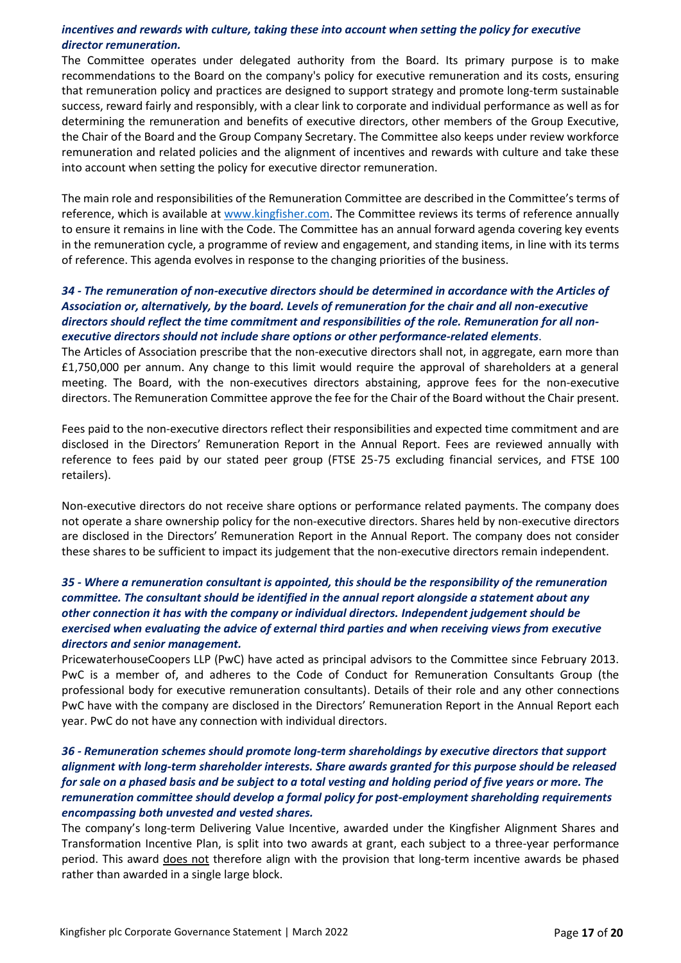## *incentives and rewards with culture, taking these into account when setting the policy for executive director remuneration.*

The Committee operates under delegated authority from the Board. Its primary purpose is to make recommendations to the Board on the company's policy for executive remuneration and its costs, ensuring that remuneration policy and practices are designed to support strategy and promote long-term sustainable success, reward fairly and responsibly, with a clear link to corporate and individual performance as well as for determining the remuneration and benefits of executive directors, other members of the Group Executive, the Chair of the Board and the Group Company Secretary. The Committee also keeps under review workforce remuneration and related policies and the alignment of incentives and rewards with culture and take these into account when setting the policy for executive director remuneration.

The main role and responsibilities of the Remuneration Committee are described in the Committee's terms of reference, which is available at www.kingfisher.com. The Committee reviews its terms of reference annually to ensure it remains in line with the Code. The Committee has an annual forward agenda covering key events in the remuneration cycle, a programme of review and engagement, and standing items, in line with its terms of reference. This agenda evolves in response to the changing priorities of the business.

#### *34 - The remuneration of non-executive directors should be determined in accordance with the Articles of Association or, alternatively, by the board. Levels of remuneration for the chair and all non-executive directors should reflect the time commitment and responsibilities of the role. Remuneration for all nonexecutive directors should not include share options or other performance-related elements*.

The Articles of Association prescribe that the non-executive directors shall not, in aggregate, earn more than £1,750,000 per annum. Any change to this limit would require the approval of shareholders at a general meeting. The Board, with the non-executives directors abstaining, approve fees for the non-executive directors. The Remuneration Committee approve the fee for the Chair of the Board without the Chair present.

Fees paid to the non-executive directors reflect their responsibilities and expected time commitment and are disclosed in the Directors' Remuneration Report in the Annual Report. Fees are reviewed annually with reference to fees paid by our stated peer group (FTSE 25-75 excluding financial services, and FTSE 100 retailers).

Non-executive directors do not receive share options or performance related payments. The company does not operate a share ownership policy for the non-executive directors. Shares held by non-executive directors are disclosed in the Directors' Remuneration Report in the Annual Report. The company does not consider these shares to be sufficient to impact its judgement that the non-executive directors remain independent.

# *35 - Where a remuneration consultant is appointed, this should be the responsibility of the remuneration committee. The consultant should be identified in the annual report alongside a statement about any other connection it has with the company or individual directors. Independent judgement should be exercised when evaluating the advice of external third parties and when receiving views from executive directors and senior management.*

PricewaterhouseCoopers LLP (PwC) have acted as principal advisors to the Committee since February 2013. PwC is a member of, and adheres to the Code of Conduct for Remuneration Consultants Group (the professional body for executive remuneration consultants). Details of their role and any other connections PwC have with the company are disclosed in the Directors' Remuneration Report in the Annual Report each year. PwC do not have any connection with individual directors.

# *36 - Remuneration schemes should promote long-term shareholdings by executive directors that support alignment with long-term shareholder interests. Share awards granted for this purpose should be released for sale on a phased basis and be subject to a total vesting and holding period of five years or more. The remuneration committee should develop a formal policy for post-employment shareholding requirements encompassing both unvested and vested shares.*

The company's long-term Delivering Value Incentive, awarded under the Kingfisher Alignment Shares and Transformation Incentive Plan, is split into two awards at grant, each subject to a three-year performance period. This award does not therefore align with the provision that long-term incentive awards be phased rather than awarded in a single large block.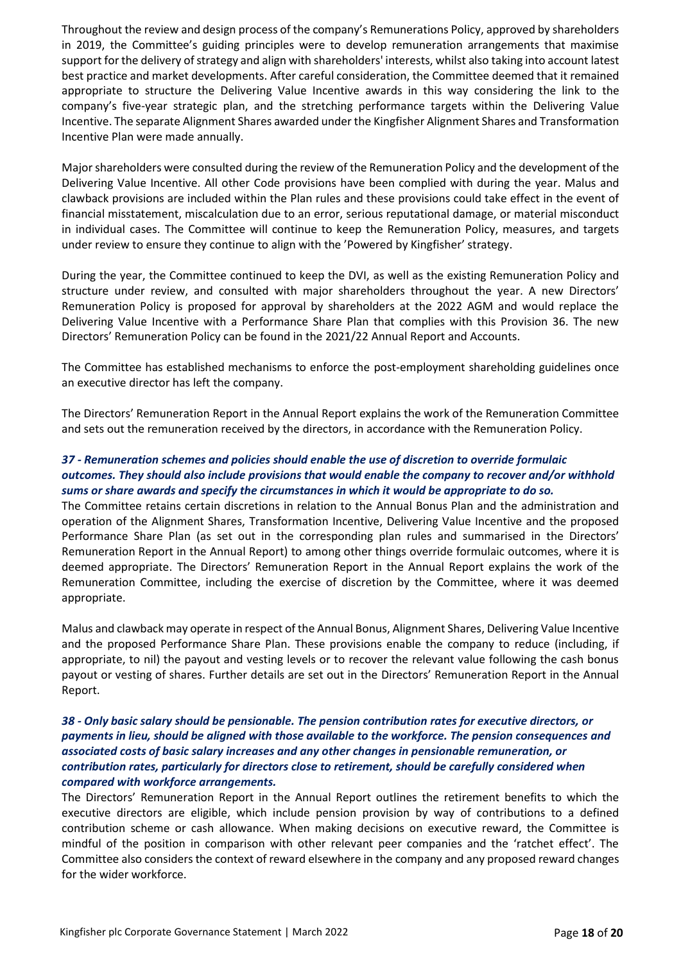Throughout the review and design process of the company's Remunerations Policy, approved by shareholders in 2019, the Committee's guiding principles were to develop remuneration arrangements that maximise support for the delivery of strategy and align with shareholders' interests, whilst also taking into account latest best practice and market developments. After careful consideration, the Committee deemed that it remained appropriate to structure the Delivering Value Incentive awards in this way considering the link to the company's five-year strategic plan, and the stretching performance targets within the Delivering Value Incentive. The separate Alignment Shares awarded under the Kingfisher Alignment Shares and Transformation Incentive Plan were made annually.

Major shareholders were consulted during the review of the Remuneration Policy and the development of the Delivering Value Incentive. All other Code provisions have been complied with during the year. Malus and clawback provisions are included within the Plan rules and these provisions could take effect in the event of financial misstatement, miscalculation due to an error, serious reputational damage, or material misconduct in individual cases. The Committee will continue to keep the Remuneration Policy, measures, and targets under review to ensure they continue to align with the 'Powered by Kingfisher' strategy.

During the year, the Committee continued to keep the DVI, as well as the existing Remuneration Policy and structure under review, and consulted with major shareholders throughout the year. A new Directors' Remuneration Policy is proposed for approval by shareholders at the 2022 AGM and would replace the Delivering Value Incentive with a Performance Share Plan that complies with this Provision 36. The new Directors' Remuneration Policy can be found in the 2021/22 Annual Report and Accounts.

The Committee has established mechanisms to enforce the post-employment shareholding guidelines once an executive director has left the company.

The Directors' Remuneration Report in the Annual Report explains the work of the Remuneration Committee and sets out the remuneration received by the directors, in accordance with the Remuneration Policy.

# *37 - Remuneration schemes and policies should enable the use of discretion to override formulaic outcomes. They should also include provisions that would enable the company to recover and/or withhold sums or share awards and specify the circumstances in which it would be appropriate to do so.*

The Committee retains certain discretions in relation to the Annual Bonus Plan and the administration and operation of the Alignment Shares, Transformation Incentive, Delivering Value Incentive and the proposed Performance Share Plan (as set out in the corresponding plan rules and summarised in the Directors' Remuneration Report in the Annual Report) to among other things override formulaic outcomes, where it is deemed appropriate. The Directors' Remuneration Report in the Annual Report explains the work of the Remuneration Committee, including the exercise of discretion by the Committee, where it was deemed appropriate.

Malus and clawback may operate in respect of the Annual Bonus, Alignment Shares, Delivering Value Incentive and the proposed Performance Share Plan. These provisions enable the company to reduce (including, if appropriate, to nil) the payout and vesting levels or to recover the relevant value following the cash bonus payout or vesting of shares. Further details are set out in the Directors' Remuneration Report in the Annual Report.

## *38 - Only basic salary should be pensionable. The pension contribution rates for executive directors, or payments in lieu, should be aligned with those available to the workforce. The pension consequences and associated costs of basic salary increases and any other changes in pensionable remuneration, or contribution rates, particularly for directors close to retirement, should be carefully considered when compared with workforce arrangements.*

The Directors' Remuneration Report in the Annual Report outlines the retirement benefits to which the executive directors are eligible, which include pension provision by way of contributions to a defined contribution scheme or cash allowance. When making decisions on executive reward, the Committee is mindful of the position in comparison with other relevant peer companies and the 'ratchet effect'. The Committee also considers the context of reward elsewhere in the company and any proposed reward changes for the wider workforce.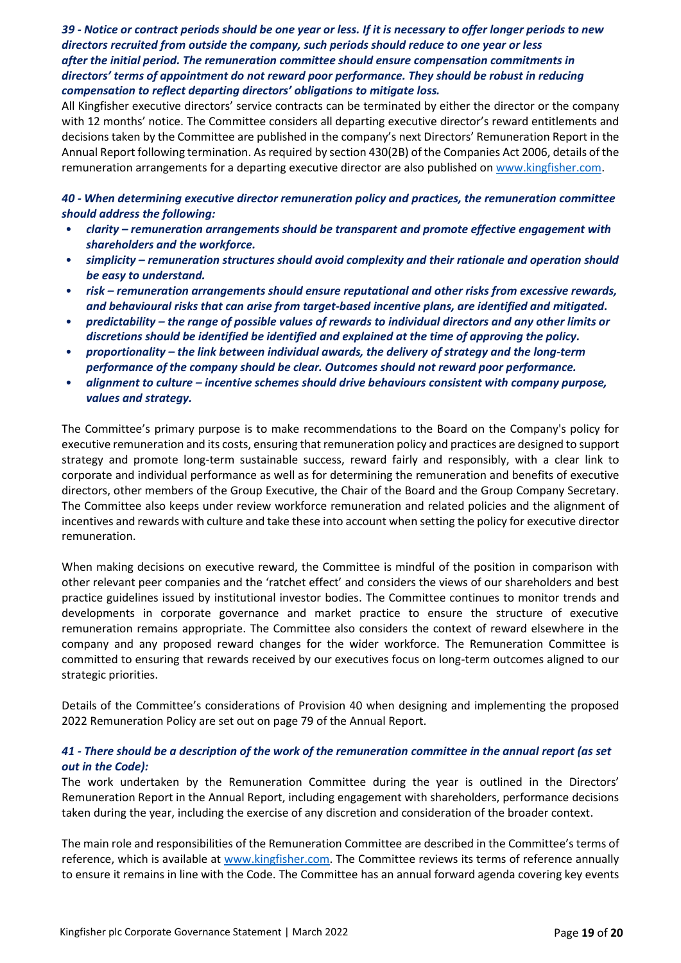## *39 - Notice or contract periods should be one year or less. If it is necessary to offer longer periods to new directors recruited from outside the company, such periods should reduce to one year or less after the initial period. The remuneration committee should ensure compensation commitments in directors' terms of appointment do not reward poor performance. They should be robust in reducing compensation to reflect departing directors' obligations to mitigate loss.*

All Kingfisher executive directors' service contracts can be terminated by either the director or the company with 12 months' notice. The Committee considers all departing executive director's reward entitlements and decisions taken by the Committee are published in the company's next Directors' Remuneration Report in the Annual Report following termination. As required by section 430(2B) of the Companies Act 2006, details of the remuneration arrangements for a departing executive director are also published on [www.kingfisher.com.](http://www.kingfisher.com/)

*40 - When determining executive director remuneration policy and practices, the remuneration committee should address the following:*

- *clarity – remuneration arrangements should be transparent and promote effective engagement with shareholders and the workforce.*
- *simplicity – remuneration structures should avoid complexity and their rationale and operation should be easy to understand.*
- *risk – remuneration arrangements should ensure reputational and other risks from excessive rewards, and behavioural risks that can arise from target-based incentive plans, are identified and mitigated.*
- *predictability – the range of possible values of rewards to individual directors and any other limits or discretions should be identified be identified and explained at the time of approving the policy.*
- *proportionality – the link between individual awards, the delivery of strategy and the long-term performance of the company should be clear. Outcomes should not reward poor performance.*
- *alignment to culture – incentive schemes should drive behaviours consistent with company purpose, values and strategy.*

The Committee's primary purpose is to make recommendations to the Board on the Company's policy for executive remuneration and its costs, ensuring that remuneration policy and practices are designed to support strategy and promote long-term sustainable success, reward fairly and responsibly, with a clear link to corporate and individual performance as well as for determining the remuneration and benefits of executive directors, other members of the Group Executive, the Chair of the Board and the Group Company Secretary. The Committee also keeps under review workforce remuneration and related policies and the alignment of incentives and rewards with culture and take these into account when setting the policy for executive director remuneration.

When making decisions on executive reward, the Committee is mindful of the position in comparison with other relevant peer companies and the 'ratchet effect' and considers the views of our shareholders and best practice guidelines issued by institutional investor bodies. The Committee continues to monitor trends and developments in corporate governance and market practice to ensure the structure of executive remuneration remains appropriate. The Committee also considers the context of reward elsewhere in the company and any proposed reward changes for the wider workforce. The Remuneration Committee is committed to ensuring that rewards received by our executives focus on long-term outcomes aligned to our strategic priorities.

Details of the Committee's considerations of Provision 40 when designing and implementing the proposed 2022 Remuneration Policy are set out on page 79 of the Annual Report.

#### *41 - There should be a description of the work of the remuneration committee in the annual report (as set out in the Code):*

The work undertaken by the Remuneration Committee during the year is outlined in the Directors' Remuneration Report in the Annual Report, including engagement with shareholders, performance decisions taken during the year, including the exercise of any discretion and consideration of the broader context.

The main role and responsibilities of the Remuneration Committee are described in the Committee's terms of reference, which is available at www.kingfisher.com. The Committee reviews its terms of reference annually to ensure it remains in line with the Code. The Committee has an annual forward agenda covering key events